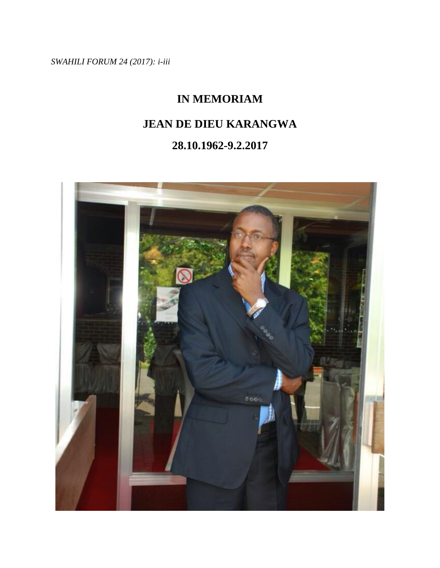*SWAHILI FORUM 24 (2017): i-iii*

# **IN MEMORIAM**

## **JEAN DE DIEU KARANGWA**

## **28.10.1962-9.2.2017**

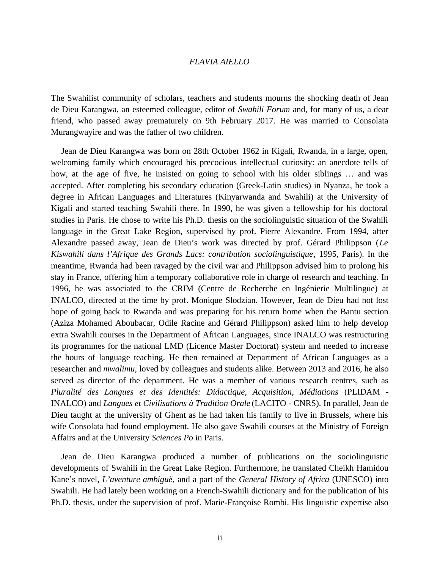### *FLAVIA AIELLO*

The Swahilist community of scholars, teachers and students mourns the shocking death of Jean de Dieu Karangwa, an esteemed colleague, editor of *Swahili Forum* and, for many of us, a dear friend, who passed away prematurely on 9th February 2017. He was married to Consolata Murangwayire and was the father of two children.

Jean de Dieu Karangwa was born on 28th October 1962 in Kigali, Rwanda, in a large, open, welcoming family which encouraged his precocious intellectual curiosity: an anecdote tells of how, at the age of five, he insisted on going to school with his older siblings … and was accepted. After completing his secondary education (Greek-Latin studies) in Nyanza, he took a degree in African Languages and Literatures (Kinyarwanda and Swahili) at the University of Kigali and started teaching Swahili there. In 1990, he was given a fellowship for his doctoral studies in Paris. He chose to write his Ph.D. thesis on the sociolinguistic situation of the Swahili language in the Great Lake Region, supervised by prof. Pierre Alexandre. From 1994, after Alexandre passed away, Jean de Dieu's work was directed by prof. Gérard Philippson (*Le Kiswahili dans l'Afrique des Grands Lacs: contribution sociolinguistique*, 1995, Paris). In the meantime, Rwanda had been ravaged by the civil war and Philippson advised him to prolong his stay in France, offering him a temporary collaborative role in charge of research and teaching. In 1996, he was associated to the CRIM (Centre de Recherche en Ingénierie Multilingue) at INALCO, directed at the time by prof. Monique Slodzian. However, Jean de Dieu had not lost hope of going back to Rwanda and was preparing for his return home when the Bantu section (Aziza Mohamed Aboubacar, Odile Racine and Gérard Philippson) asked him to help develop extra Swahili courses in the Department of African Languages, since INALCO was restructuring its programmes for the national LMD (Licence Master Doctorat) system and needed to increase the hours of language teaching. He then remained at Department of African Languages as a researcher and *mwalimu,* loved by colleagues and students alike. Between 2013 and 2016, he also served as director of the department. He was a member of various research centres, such as *Pluralité des Langues et des Identités: Didactique, Acquisition, Médiations* (PLIDAM - INALCO) and *Langues et Civilisations à Tradition Orale* (LACITO - CNRS). In parallel, Jean de Dieu taught at the university of Ghent as he had taken his family to live in Brussels, where his wife Consolata had found employment. He also gave Swahili courses at the Ministry of Foreign Affairs and at the University *Sciences Po* in Paris.

Jean de Dieu Karangwa produced a number of publications on the sociolinguistic developments of Swahili in the Great Lake Region. Furthermore, he translated Cheikh Hamidou Kane's novel, *L'aventure ambiguë*, and a part of the *General History of Africa* (UNESCO) into Swahili. He had lately been working on a French-Swahili dictionary and for the publication of his Ph.D. thesis, under the supervision of prof. Marie-Françoise Rombi. His linguistic expertise also